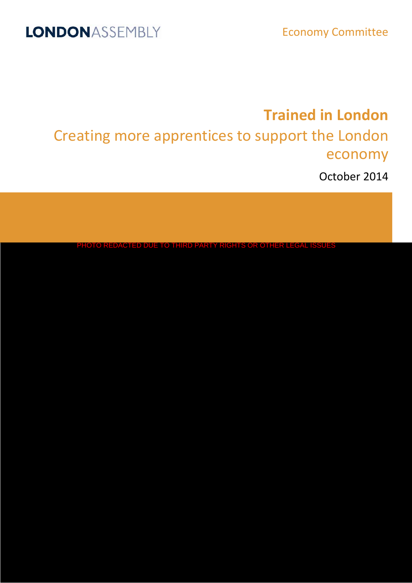# **Trained in London**

Creating more apprentices to support the London economy

October 2014

PHOTO REDACTED DUE TO THIRD PARTY RIGHTS OR OTHER LEGAL ISSUES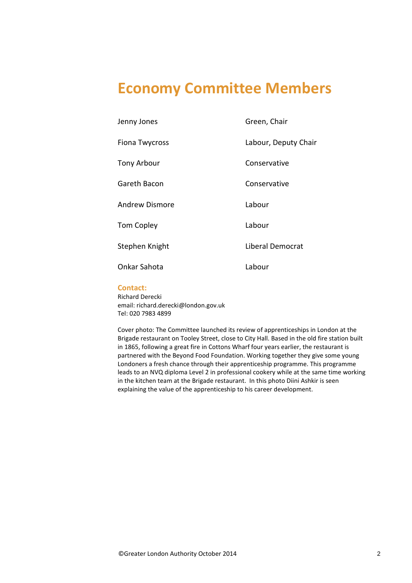# **Economy Committee Members**

| Jenny Jones           | Green, Chair            |
|-----------------------|-------------------------|
| Fiona Twycross        | Labour, Deputy Chair    |
| Tony Arbour           | Conservative            |
| Gareth Bacon          | Conservative            |
| <b>Andrew Dismore</b> | Labour                  |
| <b>Tom Copley</b>     | Labour                  |
| Stephen Knight        | <b>Liberal Democrat</b> |
| Onkar Sahota          | Labour                  |

### **Contact:**

Richard Derecki email: richard.derecki@london.gov.uk Tel: 020 7983 4899

Cover photo: The Committee launched its review of apprenticeships in London at the Brigade restaurant on Tooley Street, close to City Hall. Based in the old fire station built in 1865, following a great fire in Cottons Wharf four years earlier, the restaurant is partnered with the Beyond Food Foundation. Working together they give some young Londoners a fresh chance through their apprenticeship programme. This programme leads to an NVQ diploma Level 2 in professional cookery while at the same time working in the kitchen team at the Brigade restaurant. In this photo Diini Ashkir is seen explaining the value of the apprenticeship to his career development.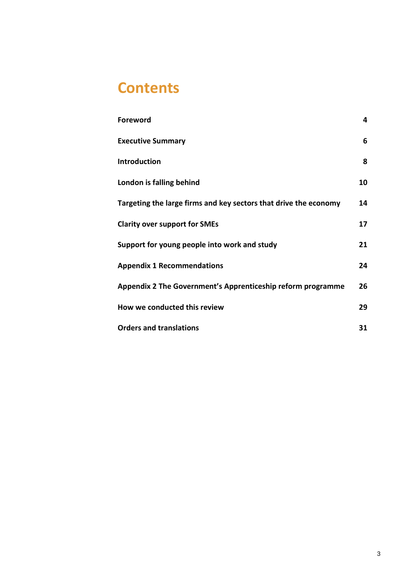# **Contents**

| <b>Foreword</b>                                                  | 4  |
|------------------------------------------------------------------|----|
| <b>Executive Summary</b>                                         | 6  |
| <b>Introduction</b>                                              | 8  |
| London is falling behind                                         | 10 |
| Targeting the large firms and key sectors that drive the economy | 14 |
| <b>Clarity over support for SMEs</b>                             | 17 |
| Support for young people into work and study                     | 21 |
| <b>Appendix 1 Recommendations</b>                                | 24 |
| Appendix 2 The Government's Apprenticeship reform programme      | 26 |
| How we conducted this review                                     | 29 |
| <b>Orders and translations</b>                                   | 31 |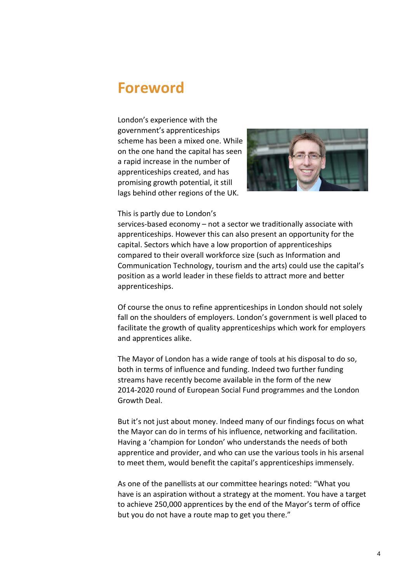# <span id="page-3-0"></span>**Foreword**

London's experience with the government's apprenticeships scheme has been a mixed one. While on the one hand the capital has seen a rapid increase in the number of apprenticeships created, and has promising growth potential, it still lags behind other regions of the UK.



#### This is partly due to London's

services-based economy – not a sector we traditionally associate with apprenticeships. However this can also present an opportunity for the capital. Sectors which have a low proportion of apprenticeships compared to their overall workforce size (such as Information and Communication Technology, tourism and the arts) could use the capital's position as a world leader in these fields to attract more and better apprenticeships.

Of course the onus to refine apprenticeships in London should not solely fall on the shoulders of employers. London's government is well placed to facilitate the growth of quality apprenticeships which work for employers and apprentices alike.

The Mayor of London has a wide range of tools at his disposal to do so, both in terms of influence and funding. Indeed two further funding streams have recently become available in the form of the new 2014-2020 round of European Social Fund programmes and the London Growth Deal.

But it's not just about money. Indeed many of our findings focus on what the Mayor can do in terms of his influence, networking and facilitation. Having a 'champion for London' who understands the needs of both apprentice and provider, and who can use the various tools in his arsenal to meet them, would benefit the capital's apprenticeships immensely.

As one of the panellists at our committee hearings noted: "What you have is an aspiration without a strategy at the moment. You have a target to achieve 250,000 apprentices by the end of the Mayor's term of office but you do not have a route map to get you there."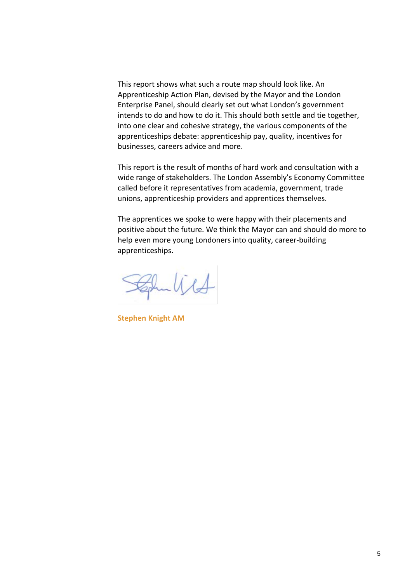This report shows what such a route map should look like. An Apprenticeship Action Plan, devised by the Mayor and the London Enterprise Panel, should clearly set out what London's government intends to do and how to do it. This should both settle and tie together, into one clear and cohesive strategy, the various components of the apprenticeships debate: apprenticeship pay, quality, incentives for businesses, careers advice and more.

This report is the result of months of hard work and consultation with a wide range of stakeholders. The London Assembly's Economy Committee called before it representatives from academia, government, trade unions, apprenticeship providers and apprentices themselves.

The apprentices we spoke to were happy with their placements and positive about the future. We think the Mayor can and should do more to help even more young Londoners into quality, career-building apprenticeships.

Zohn With

**Stephen Knight AM**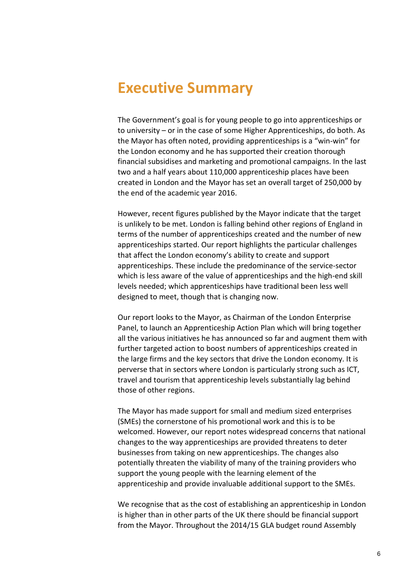# <span id="page-5-0"></span>**Executive Summary**

The Government's goal is for young people to go into apprenticeships or to university – or in the case of some Higher Apprenticeships, do both. As the Mayor has often noted, providing apprenticeships is a "win-win" for the London economy and he has supported their creation thorough financial subsidises and marketing and promotional campaigns. In the last two and a half years about 110,000 apprenticeship places have been created in London and the Mayor has set an overall target of 250,000 by the end of the academic year 2016.

However, recent figures published by the Mayor indicate that the target is unlikely to be met. London is falling behind other regions of England in terms of the number of apprenticeships created and the number of new apprenticeships started. Our report highlights the particular challenges that affect the London economy's ability to create and support apprenticeships. These include the predominance of the service-sector which is less aware of the value of apprenticeships and the high-end skill levels needed; which apprenticeships have traditional been less well designed to meet, though that is changing now.

Our report looks to the Mayor, as Chairman of the London Enterprise Panel, to launch an Apprenticeship Action Plan which will bring together all the various initiatives he has announced so far and augment them with further targeted action to boost numbers of apprenticeships created in the large firms and the key sectors that drive the London economy. It is perverse that in sectors where London is particularly strong such as ICT, travel and tourism that apprenticeship levels substantially lag behind those of other regions.

The Mayor has made support for small and medium sized enterprises (SMEs) the cornerstone of his promotional work and this is to be welcomed. However, our report notes widespread concerns that national changes to the way apprenticeships are provided threatens to deter businesses from taking on new apprenticeships. The changes also potentially threaten the viability of many of the training providers who support the young people with the learning element of the apprenticeship and provide invaluable additional support to the SMEs.

We recognise that as the cost of establishing an apprenticeship in London is higher than in other parts of the UK there should be financial support from the Mayor. Throughout the 2014/15 GLA budget round Assembly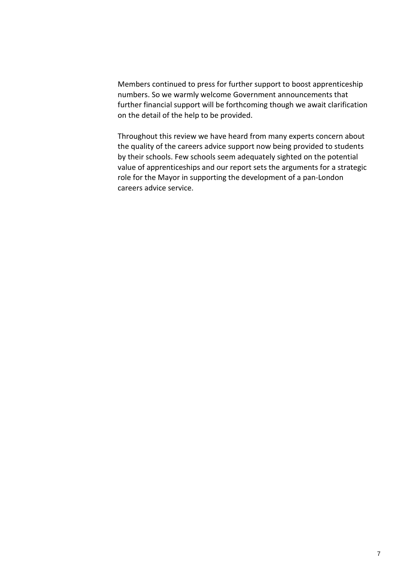Members continued to press for further support to boost apprenticeship numbers. So we warmly welcome Government announcements that further financial support will be forthcoming though we await clarification on the detail of the help to be provided.

Throughout this review we have heard from many experts concern about the quality of the careers advice support now being provided to students by their schools. Few schools seem adequately sighted on the potential value of apprenticeships and our report sets the arguments for a strategic role for the Mayor in supporting the development of a pan-London careers advice service.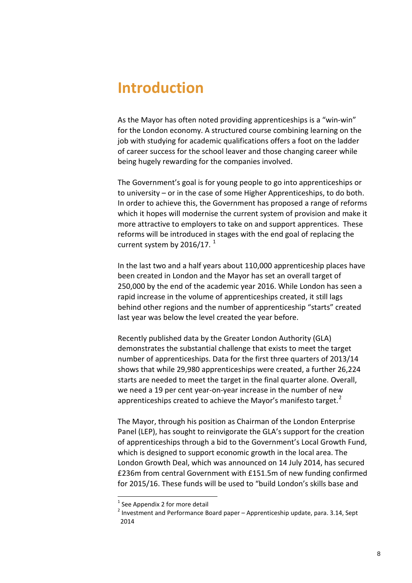# <span id="page-7-0"></span>**Introduction**

As the Mayor has often noted providing apprenticeships is a "win-win" for the London economy. A structured course combining learning on the job with studying for academic qualifications offers a foot on the ladder of career success for the school leaver and those changing career while being hugely rewarding for the companies involved.

The Government's goal is for young people to go into apprenticeships or to university – or in the case of some Higher Apprenticeships, to do both. In order to achieve this, the Government has proposed a range of reforms which it hopes will modernise the current system of provision and make it more attractive to employers to take on and support apprentices. These reforms will be introduced in stages with the end goal of replacing the current system by 20[1](#page-7-1)6/17. $^1$ 

In the last two and a half years about 110,000 apprenticeship places have been created in London and the Mayor has set an overall target of 250,000 by the end of the academic year 2016. While London has seen a rapid increase in the volume of apprenticeships created, it still lags behind other regions and the number of apprenticeship "starts" created last year was below the level created the year before.

Recently published data by the Greater London Authority (GLA) demonstrates the substantial challenge that exists to meet the target number of apprenticeships. Data for the first three quarters of 2013/14 shows that while 29,980 apprenticeships were created, a further 26,224 starts are needed to meet the target in the final quarter alone. Overall, we need a 19 per cent year-on-year increase in the number of new apprenticeships created to achieve the Mayor's manifesto target. $<sup>2</sup>$  $<sup>2</sup>$  $<sup>2</sup>$ </sup>

The Mayor, through his position as Chairman of the London Enterprise Panel (LEP), has sought to reinvigorate the GLA's support for the creation of apprenticeships through a bid to the Government's Local Growth Fund, which is designed to support economic growth in the local area. The London Growth Deal, which was announced on 14 July 2014, has secured £236m from central Government with £151.5m of new funding confirmed for 2015/16. These funds will be used to "build London's skills base and

<span id="page-7-1"></span> $1$  See Appendix 2 for more detail

<span id="page-7-2"></span> $2$  Investment and Performance Board paper – Apprenticeship update, para. 3.14, Sept 2014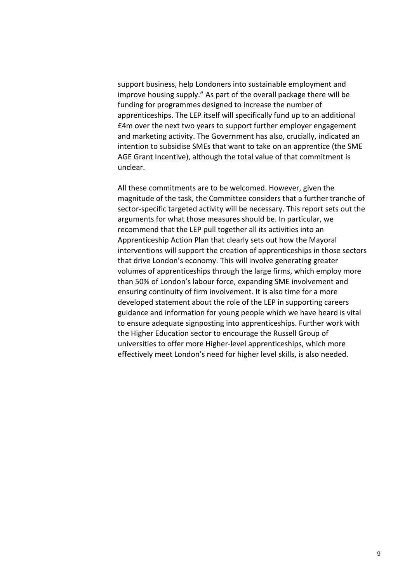support business, help Londoners into sustainable employment and improve housing supply." As part of the overall package there will be funding for programmes designed to increase the number of apprenticeships. The LEP itself will specifically fund up to an additional £4m over the next two years to support further employer engagement and marketing activity. The Government has also, crucially, indicated an intention to subsidise SMEs that want to take on an apprentice (the SME AGE Grant Incentive), although the total value of that commitment is unclear.

All these commitments are to be welcomed. However, given the magnitude of the task, the Committee considers that a further tranche of sector-specific targeted activity will be necessary. This report sets out the arguments for what those measures should be. In particular, we recommend that the LEP pull together all its activities into an Apprenticeship Action Plan that clearly sets out how the Mayoral interventions will support the creation of apprenticeships in those sectors that drive London's economy. This will involve generating greater volumes of apprenticeships through the large firms, which employ more than 50% of London's labour force, expanding SME involvement and ensuring continuity of firm involvement. It is also time for a more developed statement about the role of the LEP in supporting careers guidance and information for young people which we have heard is vital to ensure adequate signposting into apprenticeships. Further work with the Higher Education sector to encourage the Russell Group of universities to offer more Higher-level apprenticeships, which more effectively meet London's need for higher level skills, is also needed.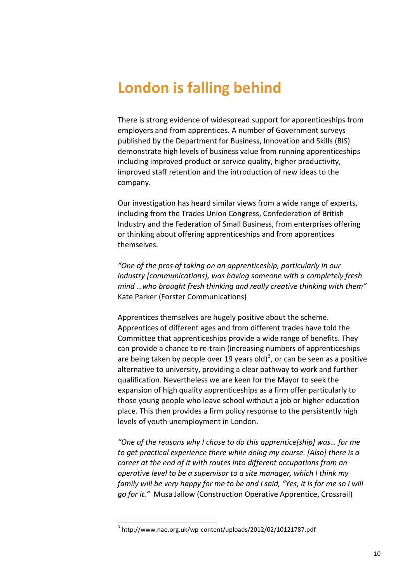# <span id="page-9-0"></span>**London is falling behind**

There is strong evidence of widespread support for apprenticeships from employers and from apprentices. A number of Government surveys published by the Department for Business, Innovation and Skills (BIS) demonstrate high levels of business value from running apprenticeships including improved product or service quality, higher productivity, improved staff retention and the introduction of new ideas to the company.

Our investigation has heard similar views from a wide range of experts, including from the Trades Union Congress, Confederation of British Industry and the Federation of Small Business, from enterprises offering or thinking about offering apprenticeships and from apprentices themselves.

*"One of the pros of taking on an apprenticeship, particularly in our industry [communications], was having someone with a completely fresh mind …who brought fresh thinking and really creative thinking with them"* Kate Parker (Forster Communications)

Apprentices themselves are hugely positive about the scheme. Apprentices of different ages and from different trades have told the Committee that apprenticeships provide a wide range of benefits. They can provide a chance to re-train (increasing numbers of apprenticeships are being taken by people over 19 years old)<sup>[3](#page-9-1)</sup>, or can be seen as a positive alternative to university, providing a clear pathway to work and further qualification. Nevertheless we are keen for the Mayor to seek the expansion of high quality apprenticeships as a firm offer particularly to those young people who leave school without a job or higher education place. This then provides a firm policy response to the persistently high levels of youth unemployment in London.

*"One of the reasons why I chose to do this apprentice[ship] was… for me to get practical experience there while doing my course. [Also] there is a career at the end of it with routes into different occupations from an operative level to be a supervisor to a site manager, which I think my family will be very happy for me to be and I said, "Yes, it is for me so I will go for it."* Musa Jallow (Construction Operative Apprentice, Crossrail)

<span id="page-9-1"></span><sup>3</sup> <http://www.nao.org.uk/wp-content/uploads/2012/02/10121787.pdf>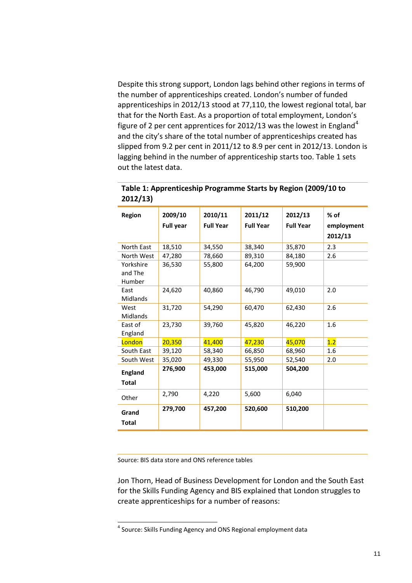Despite this strong support, London lags behind other regions in terms of the number of apprenticeships created. London's number of funded apprenticeships in 2012/13 stood at 77,110, the lowest regional total, bar that for the North East. As a proportion of total employment, London's figure of 2 per cent apprentices for 2012/13 was the lowest in England<sup>[4](#page-10-0)</sup> and the city's share of the total number of apprenticeships created has slipped from 9.2 per cent in 2011/12 to 8.9 per cent in 2012/13. London is lagging behind in the number of apprenticeship starts too. Table 1 sets out the latest data.

| Region                         | 2009/10<br><b>Full year</b> | 2010/11<br><b>Full Year</b> | 2011/12<br><b>Full Year</b> | 2012/13<br><b>Full Year</b> | $%$ of<br>employment<br>2012/13 |
|--------------------------------|-----------------------------|-----------------------------|-----------------------------|-----------------------------|---------------------------------|
| North East                     | 18,510                      | 34,550                      | 38,340                      | 35,870                      | 2.3                             |
| North West                     | 47,280                      | 78,660                      | 89,310                      | 84,180                      | 2.6                             |
| Yorkshire<br>and The<br>Humber | 36,530                      | 55,800                      | 64,200                      | 59,900                      |                                 |
| East<br>Midlands               | 24,620                      | 40,860                      | 46,790                      | 49,010                      | 2.0                             |
| West<br>Midlands               | 31,720                      | 54,290                      | 60,470                      | 62,430                      | 2.6                             |
| East of<br>England             | 23,730                      | 39,760                      | 45,820                      | 46,220                      | 1.6                             |
| London                         | 20,350                      | 41,400                      | 47,230                      | 45,070                      | 1.2                             |
| South East                     | 39,120                      | 58,340                      | 66,850                      | 68,960                      | 1.6                             |
| South West                     | 35,020                      | 49,330                      | 55,950                      | 52,540                      | 2.0                             |
| <b>England</b><br><b>Total</b> | 276,900                     | 453,000                     | 515,000                     | 504,200                     |                                 |
| Other                          | 2,790                       | 4,220                       | 5,600                       | 6,040                       |                                 |
| Grand<br>Total                 | 279,700                     | 457,200                     | 520,600                     | 510,200                     |                                 |

| Table 1: Apprenticeship Programme Starts by Region (2009/10 to |  |
|----------------------------------------------------------------|--|
| 2012/13)                                                       |  |

Source: BIS data store and ONS reference tables

 $\overline{a}$ 

Jon Thorn, Head of Business Development for London and the South East for the Skills Funding Agency and BIS explained that London struggles to create apprenticeships for a number of reasons:

<span id="page-10-0"></span><sup>4</sup> Source: Skills Funding Agency and ONS Regional employment data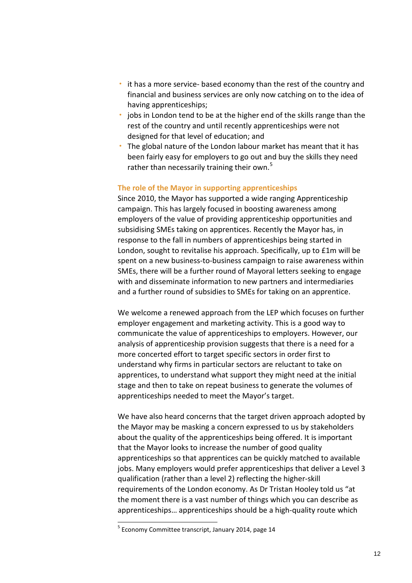- it has a more service- based economy than the rest of the country and financial and business services are only now catching on to the idea of having apprenticeships;
- jobs in London tend to be at the higher end of the skills range than the rest of the country and until recently apprenticeships were not designed for that level of education; and
- The global nature of the London labour market has meant that it has been fairly easy for employers to go out and buy the skills they need rather than necessarily training their own.<sup>[5](#page-11-0)</sup>

### **The role of the Mayor in supporting apprenticeships**

Since 2010, the Mayor has supported a wide ranging Apprenticeship campaign. This has largely focused in boosting awareness among employers of the value of providing apprenticeship opportunities and subsidising SMEs taking on apprentices. Recently the Mayor has, in response to the fall in numbers of apprenticeships being started in London, sought to revitalise his approach. Specifically, up to £1m will be spent on a new business-to-business campaign to raise awareness within SMEs, there will be a further round of Mayoral letters seeking to engage with and disseminate information to new partners and intermediaries and a further round of subsidies to SMEs for taking on an apprentice.

We welcome a renewed approach from the LEP which focuses on further employer engagement and marketing activity. This is a good way to communicate the value of apprenticeships to employers. However, our analysis of apprenticeship provision suggests that there is a need for a more concerted effort to target specific sectors in order first to understand why firms in particular sectors are reluctant to take on apprentices, to understand what support they might need at the initial stage and then to take on repeat business to generate the volumes of apprenticeships needed to meet the Mayor's target.

We have also heard concerns that the target driven approach adopted by the Mayor may be masking a concern expressed to us by stakeholders about the quality of the apprenticeships being offered. It is important that the Mayor looks to increase the number of good quality apprenticeships so that apprentices can be quickly matched to available jobs. Many employers would prefer apprenticeships that deliver a Level 3 qualification (rather than a level 2) reflecting the higher-skill requirements of the London economy. As Dr Tristan Hooley told us "at the moment there is a vast number of things which you can describe as apprenticeships… apprenticeships should be a high-quality route which

<span id="page-11-0"></span> $5$  Economy Committee transcript, January 2014, page 14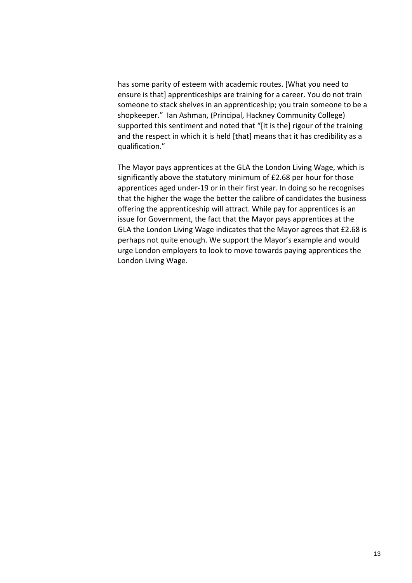has some parity of esteem with academic routes. [What you need to ensure is that] apprenticeships are training for a career. You do not train someone to stack shelves in an apprenticeship; you train someone to be a shopkeeper." Ian Ashman, (Principal, Hackney Community College) supported this sentiment and noted that "[it is the] rigour of the training and the respect in which it is held [that] means that it has credibility as a qualification."

The Mayor pays apprentices at the GLA the London Living Wage, which is significantly above the statutory minimum of £2.68 per hour for those apprentices aged under-19 or in their first year. In doing so he recognises that the higher the wage the better the calibre of candidates the business offering the apprenticeship will attract. While pay for apprentices is an issue for Government, the fact that the Mayor pays apprentices at the GLA the London Living Wage indicates that the Mayor agrees that £2.68 is perhaps not quite enough. We support the Mayor's example and would urge London employers to look to move towards paying apprentices the London Living Wage.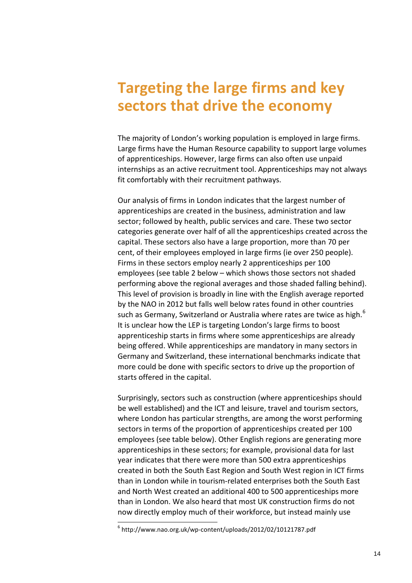# <span id="page-13-0"></span>**Targeting the large firms and key sectors that drive the economy**

The majority of London's working population is employed in large firms. Large firms have the Human Resource capability to support large volumes of apprenticeships. However, large firms can also often use unpaid internships as an active recruitment tool. Apprenticeships may not always fit comfortably with their recruitment pathways.

Our analysis of firms in London indicates that the largest number of apprenticeships are created in the business, administration and law sector; followed by health, public services and care. These two sector categories generate over half of all the apprenticeships created across the capital. These sectors also have a large proportion, more than 70 per cent, of their employees employed in large firms (ie over 250 people). Firms in these sectors employ nearly 2 apprenticeships per 100 employees (see table 2 below – which shows those sectors not shaded performing above the regional averages and those shaded falling behind). This level of provision is broadly in line with the English average reported by the NAO in 2012 but falls well below rates found in other countries such as Germany, Switzerland or Australia where rates are twice as high.<sup>[6](#page-13-1)</sup> It is unclear how the LEP is targeting London's large firms to boost apprenticeship starts in firms where some apprenticeships are already being offered. While apprenticeships are mandatory in many sectors in Germany and Switzerland, these international benchmarks indicate that more could be done with specific sectors to drive up the proportion of starts offered in the capital.

Surprisingly, sectors such as construction (where apprenticeships should be well established) and the ICT and leisure, travel and tourism sectors, where London has particular strengths, are among the worst performing sectors in terms of the proportion of apprenticeships created per 100 employees (see table below). Other English regions are generating more apprenticeships in these sectors; for example, provisional data for last year indicates that there were more than 500 extra apprenticeships created in both the South East Region and South West region in ICT firms than in London while in tourism-related enterprises both the South East and North West created an additional 400 to 500 apprenticeships more than in London. We also heard that most UK construction firms do not now directly employ much of their workforce, but instead mainly use

<span id="page-13-1"></span> $^6$  <http://www.nao.org.uk/wp-content/uploads/2012/02/10121787.pdf>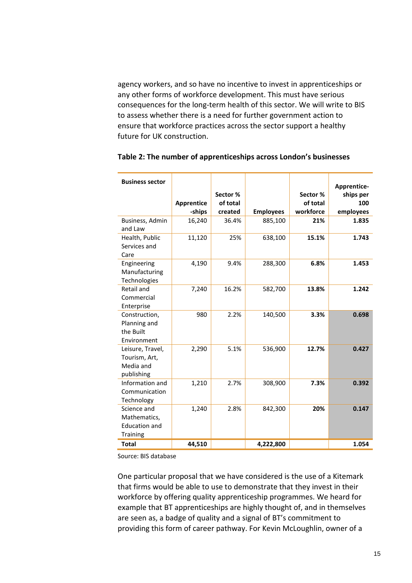agency workers, and so have no incentive to invest in apprenticeships or any other forms of workforce development. This must have serious consequences for the long-term health of this sector. We will write to BIS to assess whether there is a need for further government action to ensure that workforce practices across the sector support a healthy future for UK construction.

| <b>Business sector</b>                                                 | Apprentice<br>-ships | Sector %<br>of total<br>created | <b>Employees</b> | Sector %<br>of total<br>workforce | Apprentice-<br>ships per<br>100<br>employees |
|------------------------------------------------------------------------|----------------------|---------------------------------|------------------|-----------------------------------|----------------------------------------------|
| Business, Admin<br>and Law                                             | 16,240               | 36.4%                           | 885,100          | 21%                               | 1.835                                        |
| Health, Public<br>Services and<br>Care                                 | 11,120               | 25%                             | 638,100          | 15.1%                             | 1.743                                        |
| Engineering<br>Manufacturing<br>Technologies                           | 4,190                | 9.4%                            | 288,300          | 6.8%                              | 1.453                                        |
| Retail and<br>Commercial<br>Enterprise                                 | 7,240                | 16.2%                           | 582,700          | 13.8%                             | 1.242                                        |
| Construction,<br>Planning and<br>the Built<br>Environment              | 980                  | 2.2%                            | 140,500          | 3.3%                              | 0.698                                        |
| Leisure, Travel,<br>Tourism, Art,<br>Media and<br>publishing           | 2,290                | 5.1%                            | 536,900          | 12.7%                             | 0.427                                        |
| Information and<br>Communication<br>Technology                         | 1,210                | 2.7%                            | 308,900          | 7.3%                              | 0.392                                        |
| Science and<br>Mathematics,<br><b>Education and</b><br><b>Training</b> | 1,240                | 2.8%                            | 842,300          | 20%                               | 0.147                                        |
| <b>Total</b>                                                           | 44,510               |                                 | 4,222,800        |                                   | 1.054                                        |

### **Table 2: The number of apprenticeships across London's businesses**

Source: BIS database

One particular proposal that we have considered is the use of a Kitemark that firms would be able to use to demonstrate that they invest in their workforce by offering quality apprenticeship programmes. We heard for example that BT apprenticeships are highly thought of, and in themselves are seen as, a badge of quality and a signal of BT's commitment to providing this form of career pathway. For Kevin McLoughlin, owner of a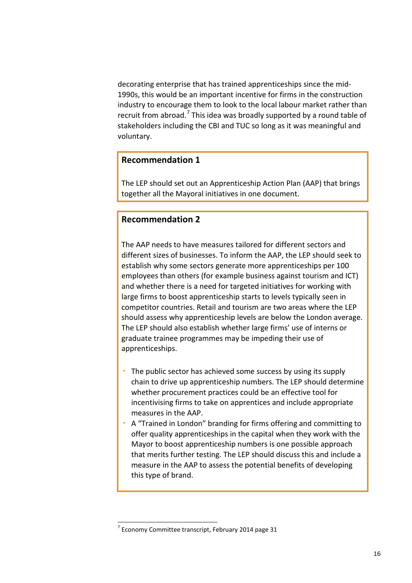decorating enterprise that has trained apprenticeships since the mid-1990s, this would be an important incentive for firms in the construction industry to encourage them to look to the local labour market rather than recruit from abroad.<sup>[7](#page-15-0)</sup> This idea was broadly supported by a round table of stakeholders including the CBI and TUC so long as it was meaningful and voluntary.

## **Recommendation 1**

The LEP should set out an Apprenticeship Action Plan (AAP) that brings together all the Mayoral initiatives in one document.

## **Recommendation 2**

The AAP needs to have measures tailored for different sectors and different sizes of businesses. To inform the AAP, the LEP should seek to establish why some sectors generate more apprenticeships per 100 employees than others (for example business against tourism and ICT) and whether there is a need for targeted initiatives for working with large firms to boost apprenticeship starts to levels typically seen in competitor countries. Retail and tourism are two areas where the LEP should assess why apprenticeship levels are below the London average. The LEP should also establish whether large firms' use of interns or graduate trainee programmes may be impeding their use of apprenticeships.

- The public sector has achieved some success by using its supply chain to drive up apprenticeship numbers. The LEP should determine whether procurement practices could be an effective tool for incentivising firms to take on apprentices and include appropriate measures in the AAP.
- A "Trained in London" branding for firms offering and committing to offer quality apprenticeships in the capital when they work with the Mayor to boost apprenticeship numbers is one possible approach that merits further testing. The LEP should discuss this and include a measure in the AAP to assess the potential benefits of developing this type of brand.

<span id="page-15-0"></span> $7$  Economy Committee transcript, February 2014 page 31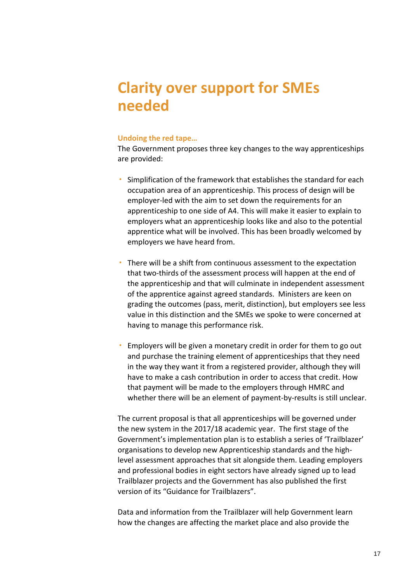# <span id="page-16-0"></span>**Clarity over support for SMEs needed**

### **Undoing the red tape…**

The Government proposes three key changes to the way apprenticeships are provided:

- Simplification of the framework that establishes the standard for each occupation area of an apprenticeship. This process of design will be employer-led with the aim to set down the requirements for an apprenticeship to one side of A4. This will make it easier to explain to employers what an apprenticeship looks like and also to the potential apprentice what will be involved. This has been broadly welcomed by employers we have heard from.
- There will be a shift from continuous assessment to the expectation that two-thirds of the assessment process will happen at the end of the apprenticeship and that will culminate in independent assessment of the apprentice against agreed standards. Ministers are keen on grading the outcomes (pass, merit, distinction), but employers see less value in this distinction and the SMEs we spoke to were concerned at having to manage this performance risk.
- Employers will be given a monetary credit in order for them to go out and purchase the training element of apprenticeships that they need in the way they want it from a registered provider, although they will have to make a cash contribution in order to access that credit. How that payment will be made to the employers through HMRC and whether there will be an element of payment-by-results is still unclear.

The current proposal is that all apprenticeships will be governed under the new system in the 2017/18 academic year. The first stage of the Government's implementation plan is to establish a series of 'Trailblazer' organisations to develop new Apprenticeship standards and the highlevel assessment approaches that sit alongside them. Leading employers and professional bodies in eight sectors have already signed up to lead Trailblazer projects and the Government has also published the first version of its "Guidance for Trailblazers".

Data and information from the Trailblazer will help Government learn how the changes are affecting the market place and also provide the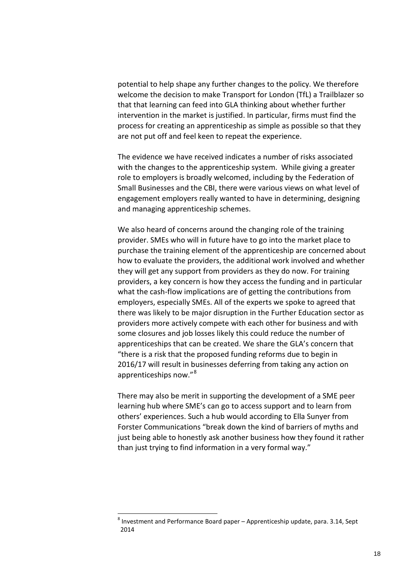potential to help shape any further changes to the policy. We therefore welcome the decision to make Transport for London (TfL) a Trailblazer so that that learning can feed into GLA thinking about whether further intervention in the market is justified. In particular, firms must find the process for creating an apprenticeship as simple as possible so that they are not put off and feel keen to repeat the experience.

The evidence we have received indicates a number of risks associated with the changes to the apprenticeship system. While giving a greater role to employers is broadly welcomed, including by the Federation of Small Businesses and the CBI, there were various views on what level of engagement employers really wanted to have in determining, designing and managing apprenticeship schemes.

We also heard of concerns around the changing role of the training provider. SMEs who will in future have to go into the market place to purchase the training element of the apprenticeship are concerned about how to evaluate the providers, the additional work involved and whether they will get any support from providers as they do now. For training providers, a key concern is how they access the funding and in particular what the cash-flow implications are of getting the contributions from employers, especially SMEs. All of the experts we spoke to agreed that there was likely to be major disruption in the Further Education sector as providers more actively compete with each other for business and with some closures and job losses likely this could reduce the number of apprenticeships that can be created. We share the GLA's concern that "there is a risk that the proposed funding reforms due to begin in 2016/17 will result in businesses deferring from taking any action on apprenticeships now."<sup>[8](#page-17-0)</sup>

There may also be merit in supporting the development of a SME peer learning hub where SME's can go to access support and to learn from others' experiences. Such a hub would according to Ella Sunyer from Forster Communications "break down the kind of barriers of myths and just being able to honestly ask another business how they found it rather than just trying to find information in a very formal way."

<span id="page-17-0"></span> $8$  Investment and Performance Board paper – Apprenticeship update, para. 3.14, Sept 2014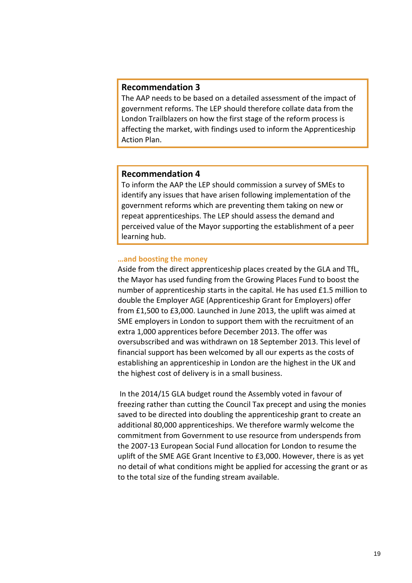## **Recommendation 3**

The AAP needs to be based on a detailed assessment of the impact of government reforms. The LEP should therefore collate data from the London Trailblazers on how the first stage of the reform process is affecting the market, with findings used to inform the Apprenticeship Action Plan.

### **Recommendation 4**

To inform the AAP the LEP should commission a survey of SMEs to identify any issues that have arisen following implementation of the government reforms which are preventing them taking on new or repeat apprenticeships. The LEP should assess the demand and perceived value of the Mayor supporting the establishment of a peer learning hub.

### **…and boosting the money**

Aside from the direct apprenticeship places created by the GLA and TfL, the Mayor has used funding from the Growing Places Fund to boost the number of apprenticeship starts in the capital. He has used £1.5 million to double the Employer AGE (Apprenticeship Grant for Employers) offer from £1,500 to £3,000. Launched in June 2013, the uplift was aimed at SME employers in London to support them with the recruitment of an extra 1,000 apprentices before December 2013. The offer was oversubscribed and was withdrawn on 18 September 2013. This level of financial support has been welcomed by all our experts as the costs of establishing an apprenticeship in London are the highest in the UK and the highest cost of delivery is in a small business.

In the 2014/15 GLA budget round the Assembly voted in favour of freezing rather than cutting the Council Tax precept and using the monies saved to be directed into doubling the apprenticeship grant to create an additional 80,000 apprenticeships. We therefore warmly welcome the commitment from Government to use resource from underspends from the 2007-13 European Social Fund allocation for London to resume the uplift of the SME AGE Grant Incentive to £3,000. However, there is as yet no detail of what conditions might be applied for accessing the grant or as to the total size of the funding stream available.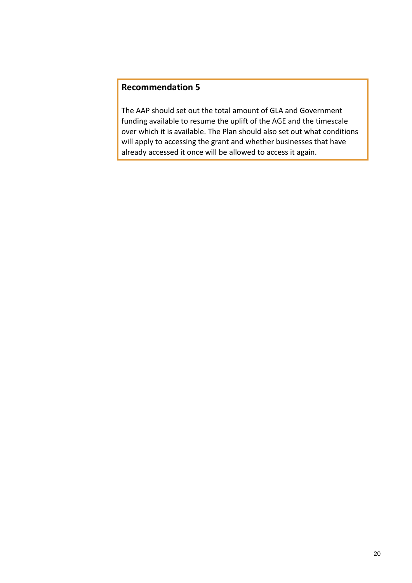# **Recommendation 5**

The AAP should set out the total amount of GLA and Government funding available to resume the uplift of the AGE and the timescale over which it is available. The Plan should also set out what conditions will apply to accessing the grant and whether businesses that have already accessed it once will be allowed to access it again.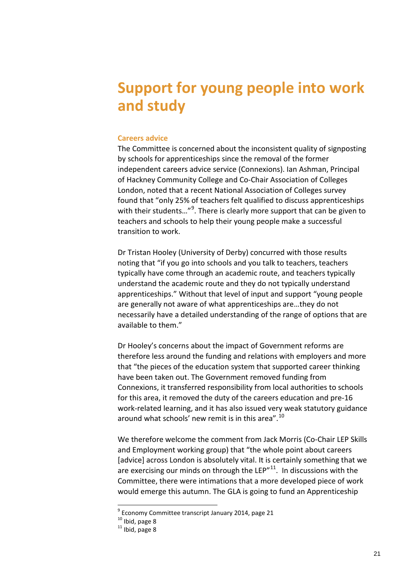# <span id="page-20-0"></span>**Support for young people into work and study**

### **Careers advice**

The Committee is concerned about the inconsistent quality of signposting by schools for apprenticeships since the removal of the former independent careers advice service (Connexions). Ian Ashman, Principal of Hackney Community College and Co-Chair Association of Colleges London, noted that a recent National Association of Colleges survey found that "only 25% of teachers felt qualified to discuss apprenticeships with their students..."<sup>[9](#page-20-1)</sup>. There is clearly more support that can be given to teachers and schools to help their young people make a successful transition to work.

Dr Tristan Hooley (University of Derby) concurred with those results noting that "if you go into schools and you talk to teachers, teachers typically have come through an academic route, and teachers typically understand the academic route and they do not typically understand apprenticeships." Without that level of input and support "young people are generally not aware of what apprenticeships are…they do not necessarily have a detailed understanding of the range of options that are available to them."

Dr Hooley's concerns about the impact of Government reforms are therefore less around the funding and relations with employers and more that "the pieces of the education system that supported career thinking have been taken out. The Government removed funding from Connexions, it transferred responsibility from local authorities to schools for this area, it removed the duty of the careers education and pre-16 work-related learning, and it has also issued very weak statutory guidance around what schools' new remit is in this area".<sup>[10](#page-20-2)</sup>

We therefore welcome the comment from Jack Morris (Co-Chair LEP Skills and Employment working group) that "the whole point about careers [advice] across London is absolutely vital. It is certainly something that we are exercising our minds on through the LEP $^{\prime\prime}$ <sup>11</sup>. In discussions with the Committee, there were intimations that a more developed piece of work would emerge this autumn. The GLA is going to fund an Apprenticeship

<span id="page-20-3"></span><span id="page-20-2"></span><span id="page-20-1"></span><sup>&</sup>lt;sup>9</sup> Economy Committee transcript January 2014, page 21<br><sup>10</sup> Ibid, page 8 <sup>11</sup> Ibid, page 8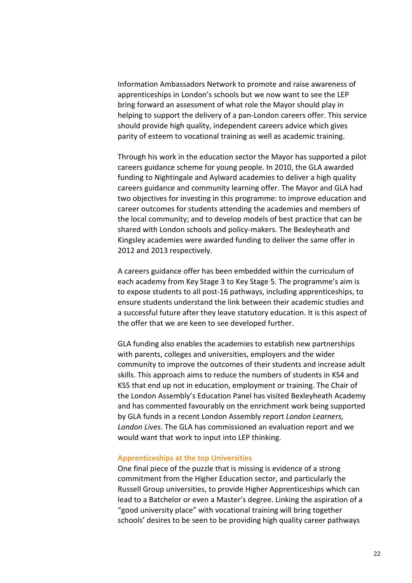Information Ambassadors Network to promote and raise awareness of apprenticeships in London's schools but we now want to see the LEP bring forward an assessment of what role the Mayor should play in helping to support the delivery of a pan-London careers offer. This service should provide high quality, independent careers advice which gives parity of esteem to vocational training as well as academic training.

Through his work in the education sector the Mayor has supported a pilot careers guidance scheme for young people. In 2010, the GLA awarded funding to Nightingale and Aylward academies to deliver a high quality careers guidance and community learning offer. The Mayor and GLA had two objectives for investing in this programme: to improve education and career outcomes for students attending the academies and members of the local community; and to develop models of best practice that can be shared with London schools and policy-makers. The Bexleyheath and Kingsley academies were awarded funding to deliver the same offer in 2012 and 2013 respectively.

A careers guidance offer has been embedded within the curriculum of each academy from Key Stage 3 to Key Stage 5. The programme's aim is to expose students to all post-16 pathways, including apprenticeships, to ensure students understand the link between their academic studies and a successful future after they leave statutory education. It is this aspect of the offer that we are keen to see developed further.

GLA funding also enables the academies to establish new partnerships with parents, colleges and universities, employers and the wider community to improve the outcomes of their students and increase adult skills. This approach aims to reduce the numbers of students in KS4 and KS5 that end up not in education, employment or training. The Chair of the London Assembly's Education Panel has visited Bexleyheath Academy and has commented favourably on the enrichment work being supported by GLA funds in a recent London Assembly report *London Learners, London Lives*. The GLA has commissioned an evaluation report and we would want that work to input into LEP thinking.

### **Apprenticeships at the top Universities**

One final piece of the puzzle that is missing is evidence of a strong commitment from the Higher Education sector, and particularly the Russell Group universities, to provide Higher Apprenticeships which can lead to a Batchelor or even a Master's degree. Linking the aspiration of a "good university place" with vocational training will bring together schools' desires to be seen to be providing high quality career pathways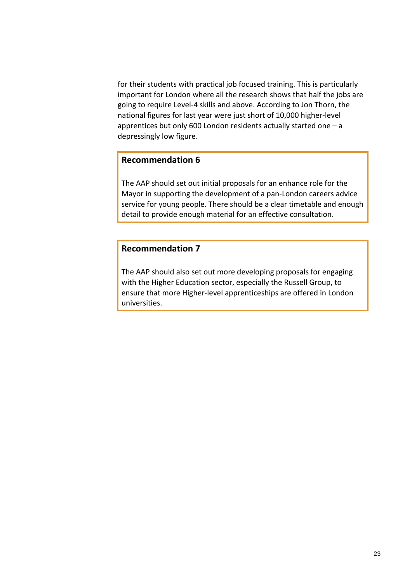for their students with practical job focused training. This is particularly important for London where all the research shows that half the jobs are going to require Level-4 skills and above. According to Jon Thorn, the national figures for last year were just short of 10,000 higher-level apprentices but only 600 London residents actually started one – a depressingly low figure.

## **Recommendation 6**

The AAP should set out initial proposals for an enhance role for the Mayor in supporting the development of a pan-London careers advice service for young people. There should be a clear timetable and enough detail to provide enough material for an effective consultation.

# **Recommendation 7**

The AAP should also set out more developing proposals for engaging with the Higher Education sector, especially the Russell Group, to ensure that more Higher-level apprenticeships are offered in London universities.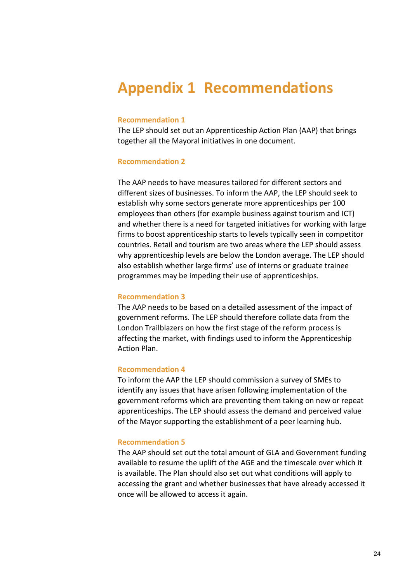# <span id="page-23-0"></span>**Appendix 1 Recommendations**

### **Recommendation 1**

The LEP should set out an Apprenticeship Action Plan (AAP) that brings together all the Mayoral initiatives in one document.

#### **Recommendation 2**

The AAP needs to have measures tailored for different sectors and different sizes of businesses. To inform the AAP, the LEP should seek to establish why some sectors generate more apprenticeships per 100 employees than others (for example business against tourism and ICT) and whether there is a need for targeted initiatives for working with large firms to boost apprenticeship starts to levels typically seen in competitor countries. Retail and tourism are two areas where the LEP should assess why apprenticeship levels are below the London average. The LEP should also establish whether large firms' use of interns or graduate trainee programmes may be impeding their use of apprenticeships.

### **Recommendation 3**

The AAP needs to be based on a detailed assessment of the impact of government reforms. The LEP should therefore collate data from the London Trailblazers on how the first stage of the reform process is affecting the market, with findings used to inform the Apprenticeship Action Plan.

### **Recommendation 4**

To inform the AAP the LEP should commission a survey of SMEs to identify any issues that have arisen following implementation of the government reforms which are preventing them taking on new or repeat apprenticeships. The LEP should assess the demand and perceived value of the Mayor supporting the establishment of a peer learning hub.

### **Recommendation 5**

The AAP should set out the total amount of GLA and Government funding available to resume the uplift of the AGE and the timescale over which it is available. The Plan should also set out what conditions will apply to accessing the grant and whether businesses that have already accessed it once will be allowed to access it again.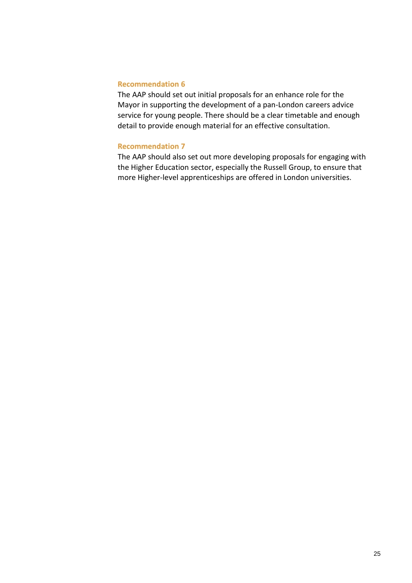### **Recommendation 6**

The AAP should set out initial proposals for an enhance role for the Mayor in supporting the development of a pan-London careers advice service for young people. There should be a clear timetable and enough detail to provide enough material for an effective consultation.

### **Recommendation 7**

The AAP should also set out more developing proposals for engaging with the Higher Education sector, especially the Russell Group, to ensure that more Higher-level apprenticeships are offered in London universities.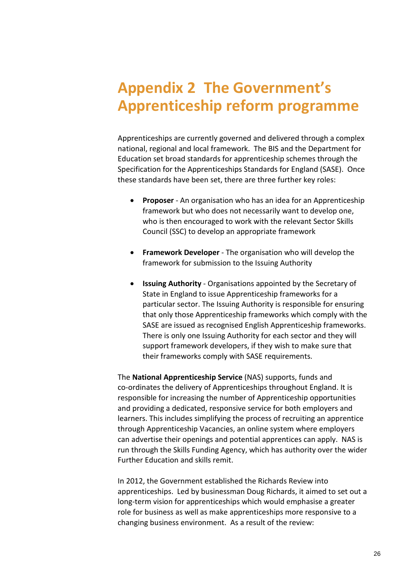# <span id="page-25-0"></span>**Appendix 2 The Government's Apprenticeship reform programme**

Apprenticeships are currently governed and delivered through a complex national, regional and local framework. The BIS and the Department for Education set broad standards for apprenticeship schemes through the Specification for the Apprenticeships Standards for England (SASE). Once these standards have been set, there are three further key roles:

- **Proposer** An organisation who has an idea for an Apprenticeship framework but who does not necessarily want to develop one, who is then encouraged to work with the relevant Sector Skills Council (SSC) to develop an appropriate framework
- **Framework Developer** The organisation who will develop the framework for submission to the Issuing Authority
- **Issuing Authority** Organisations appointed by the Secretary of State in England to issue Apprenticeship frameworks for a particular sector. The Issuing Authority is responsible for ensuring that only those Apprenticeship frameworks which comply with the SASE are issued as recognised English Apprenticeship frameworks. There is only one Issuing Authority for each sector and they will support framework developers, if they wish to make sure that their frameworks comply with SASE requirements.

The **National Apprenticeship Service** (NAS) supports, funds and co-ordinates the delivery of Apprenticeships throughout England. It is responsible for increasing the number of Apprenticeship opportunities and providing a dedicated, responsive service for both employers and learners. This includes simplifying the process of recruiting an apprentice through Apprenticeship Vacancies, an online system where employers can advertise their openings and potential apprentices can apply. NAS is run through the Skills Funding Agency, which has authority over the wider Further Education and skills remit.

In 2012, the Government established the Richards Review into apprenticeships. Led by businessman Doug Richards, it aimed to set out a long-term vision for apprenticeships which would emphasise a greater role for business as well as make apprenticeships more responsive to a changing business environment. As a result of the review: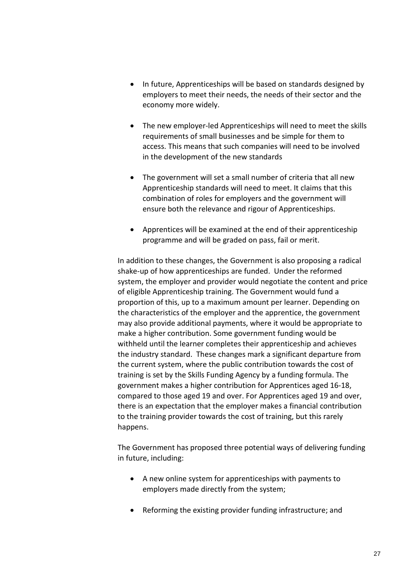- In future, Apprenticeships will be based on standards designed by employers to meet their needs, the needs of their sector and the economy more widely.
- The new employer-led Apprenticeships will need to meet the skills requirements of small businesses and be simple for them to access. This means that such companies will need to be involved in the development of the new standards
- The government will set a small number of criteria that all new Apprenticeship standards will need to meet. It claims that this combination of roles for employers and the government will ensure both the relevance and rigour of Apprenticeships.
- Apprentices will be examined at the end of their apprenticeship programme and will be graded on pass, fail or merit.

In addition to these changes, the Government is also proposing a radical shake-up of how apprenticeships are funded. Under the reformed system, the employer and provider would negotiate the content and price of eligible Apprenticeship training. The Government would fund a proportion of this, up to a maximum amount per learner. Depending on the characteristics of the employer and the apprentice, the government may also provide additional payments, where it would be appropriate to make a higher contribution. Some government funding would be withheld until the learner completes their apprenticeship and achieves the industry standard. These changes mark a significant departure from the current system, where the public contribution towards the cost of training is set by the Skills Funding Agency by a funding formula. The government makes a higher contribution for Apprentices aged 16-18, compared to those aged 19 and over. For Apprentices aged 19 and over, there is an expectation that the employer makes a financial contribution to the training provider towards the cost of training, but this rarely happens.

The Government has proposed three potential ways of delivering funding in future, including:

- A new online system for apprenticeships with payments to employers made directly from the system;
- Reforming the existing provider funding infrastructure; and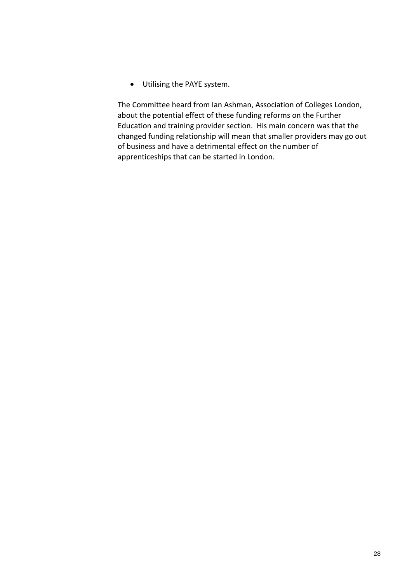• Utilising the PAYE system.

The Committee heard from Ian Ashman, Association of Colleges London, about the potential effect of these funding reforms on the Further Education and training provider section. His main concern was that the changed funding relationship will mean that smaller providers may go out of business and have a detrimental effect on the number of apprenticeships that can be started in London.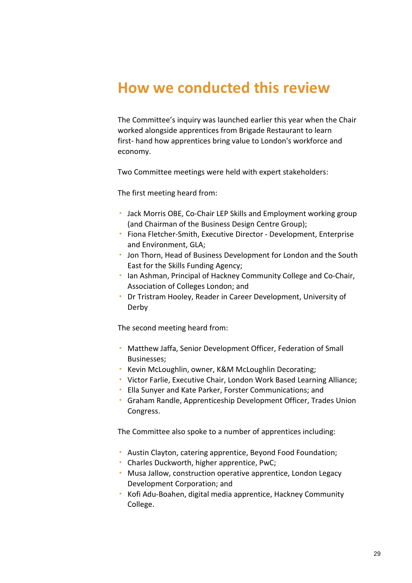# <span id="page-28-0"></span>**How we conducted this review**

The Committee's inquiry was launched earlier this year when the Chair worked alongside apprentices from Brigade Restaurant to learn first- hand how apprentices bring value to London's workforce and economy.

Two Committee meetings were held with expert stakeholders:

The first meeting heard from:

- Jack Morris OBE, Co-Chair LEP Skills and Employment working group (and Chairman of the Business Design Centre Group);
- Fiona Fletcher-Smith, Executive Director Development, Enterprise and Environment, GLA;
- Jon Thorn, Head of Business Development for London and the South East for the Skills Funding Agency;
- Ian Ashman, Principal of Hackney Community College and Co-Chair, Association of Colleges London; and
- Dr Tristram Hooley, Reader in Career Development, University of Derby

The second meeting heard from:

- Matthew Jaffa, Senior Development Officer, Federation of Small Businesses;
- Kevin McLoughlin, owner, K&M McLoughlin Decorating;
- Victor Farlie, Executive Chair, London Work Based Learning Alliance;
- Ella Sunyer and Kate Parker, Forster Communications; and
- Graham Randle, Apprenticeship Development Officer, Trades Union Congress.

The Committee also spoke to a number of apprentices including:

- Austin Clayton, catering apprentice, Beyond Food Foundation;
- Charles Duckworth, higher apprentice, PwC;
- Musa Jallow, construction operative apprentice, London Legacy Development Corporation; and
- Kofi Adu-Boahen, digital media apprentice, Hackney Community College.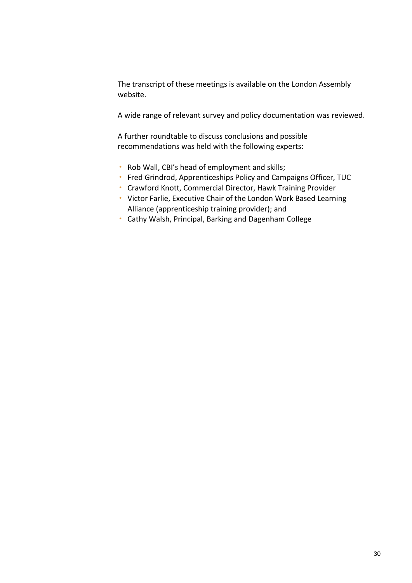The transcript of these meetings is available on the London Assembly website.

A wide range of relevant survey and policy documentation was reviewed.

A further roundtable to discuss conclusions and possible recommendations was held with the following experts:

- Rob Wall, CBI's head of employment and skills;
- Fred Grindrod, Apprenticeships Policy and Campaigns Officer, TUC
- Crawford Knott, Commercial Director, Hawk Training Provider
- Victor Farlie, Executive Chair of the London Work Based Learning Alliance (apprenticeship training provider); and
- Cathy Walsh, Principal, Barking and Dagenham College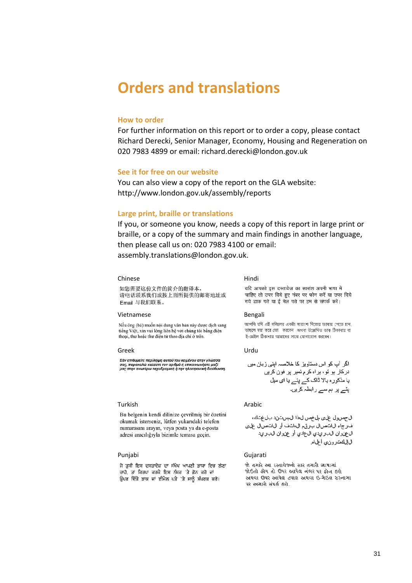# <span id="page-30-0"></span>**Orders and translations**

### **How to order**

For further information on this report or to order a copy, please contact Richard Derecki, Senior Manager, Economy, Housing and Regeneration on 020 7983 4899 or email: richard.derecki@london.gov.uk

#### **See it for free on our website**

You can also view a copy of the report on the GLA website: http://www.london.gov.uk/assembly/reports

#### **Large print, braille or translations**

If you, or someone you know, needs a copy of this report in large print or braille, or a copy of the summary and main findings in another language, then please call us on: 020 7983 4100 or email: [assembly.translations@london.gov.uk.](mailto:assembly.translations@london.gov.uk)

#### Chinese Hindi

如您需要这份文件的简介的翻译本, 请电话联系我们或按上面所提供的邮寄地址或 Email 与我们联系。

#### Vietnamese Bengali

Nếu ông (bà) muốn nôi dung văn bản này được dịch sang tiếng Việt, xin vui lòng liên hệ với chúng tôi bằng điện thoại, thư hoặc thư điện từ theo địa chỉ ở trên.

#### Greek Urdu

Εάν επιθυμείτε περίληψη αυτού του κειμένου στην γλώσσα σας, παρακαλώ καλέστε τον αριθμό ή επικοινωνήστε μαζί<br>μας στην ανωτέρω ταχυδρομική ή την ηλεκτρονική διεύθυνση.

#### Turkish **Arabic**

Bu belgenin kendi dilinize cevrilmis bir özetini okumak isterseniz, lütfen yukarıdaki telefon numarasını arayın, veya posta ya da e-posta adresi aracılığıyla bizimle temasa geçin.

ਜੇ ਤੁਸੀਂ ਇਸ ਦਸਤਾਵੇਜ਼ ਦਾ ਸੰਖੇਪ ਆਪਣੀ ਭਾਸ਼ਾ ਵਿਚ ਲੈਣਾ ਚਾਹੋ, ਤਾਂ ਕਿਰਪਾ ਕਰਕੇ ਇਸ ਨੰਬਰ 'ਤੇ ਫ਼ੋਨ ਕਰੋ ਜਾਂ ਉਪਰ ਦਿੱਤੇ ਡਾਕ ਜਾਂ ਈਮੇਲ ਪਤੇ 'ਤੇ ਸਾਨੂੰ ਸੰਪਰਕ ਕਰੋ।

यदि आपको इस दस्तावेज का सारांश अपनी भाषा में चाहिए तो उपर दिये हुए नंबर पर फोन करें या उपर दिये गये डाक पते या ई मेल पते पर हम से संपर्क करें।

আপনি যদি এই দলিলের একটা সারাংশ নিজের ভাষায় পেতে চান, তাহলে দয়া করে ফো করবেন অথবা উল্লেখিত ডাক ঠিকানায় বা ই-মেইল ঠিকানায় আমাদের সাথে যোগাযোগ করবেন।

ال جصول على مل خص ل هذا ال مست ند بل غتك، ف رجاء الانتصال برق مال انتف أو الانتصال على ال عن وان الب ريدي ال عادي أو عن وان الب ريد ال(لكت رون، أعل، ا

#### Punjabi Gujarati

જો તમારે આ દસ્તાવેજનો સાર તમારી ભાષામાં જોઈતો હોય તો ઉપર આપેલ નંબર પર ફોન કરો અથવા ઉપર આપેલ ટપાલ અથવા ઈ-મેઈલ સરનામા ૫ર અમારો સંપર્ક કરો.